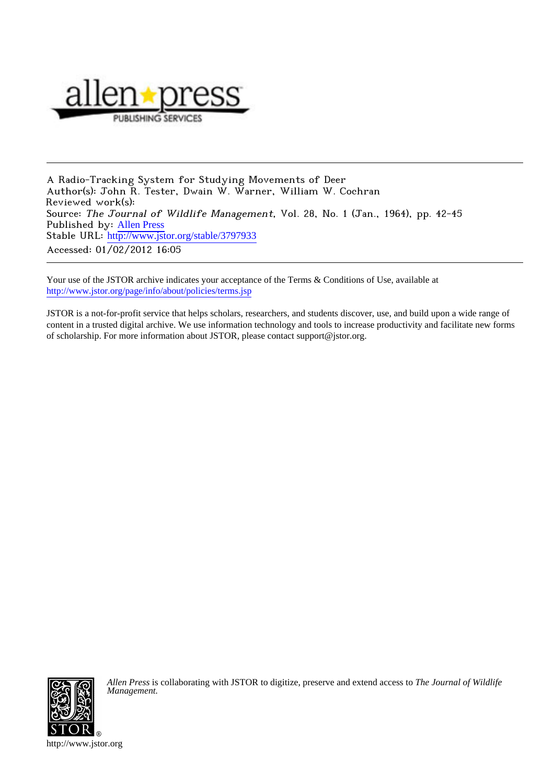

A Radio-Tracking System for Studying Movements of Deer Author(s): John R. Tester, Dwain W. Warner, William W. Cochran Reviewed work(s): Source: The Journal of Wildlife Management, Vol. 28, No. 1 (Jan., 1964), pp. 42-45 Published by: [Allen Press](http://www.jstor.org/action/showPublisher?publisherCode=acg) Stable URL: [http://www.jstor.org/stable/3797933](http://www.jstor.org/stable/3797933?origin=JSTOR-pdf) Accessed: 01/02/2012 16:05

Your use of the JSTOR archive indicates your acceptance of the Terms & Conditions of Use, available at <http://www.jstor.org/page/info/about/policies/terms.jsp>

JSTOR is a not-for-profit service that helps scholars, researchers, and students discover, use, and build upon a wide range of content in a trusted digital archive. We use information technology and tools to increase productivity and facilitate new forms of scholarship. For more information about JSTOR, please contact support@jstor.org.



*Allen Press* is collaborating with JSTOR to digitize, preserve and extend access to *The Journal of Wildlife Management.*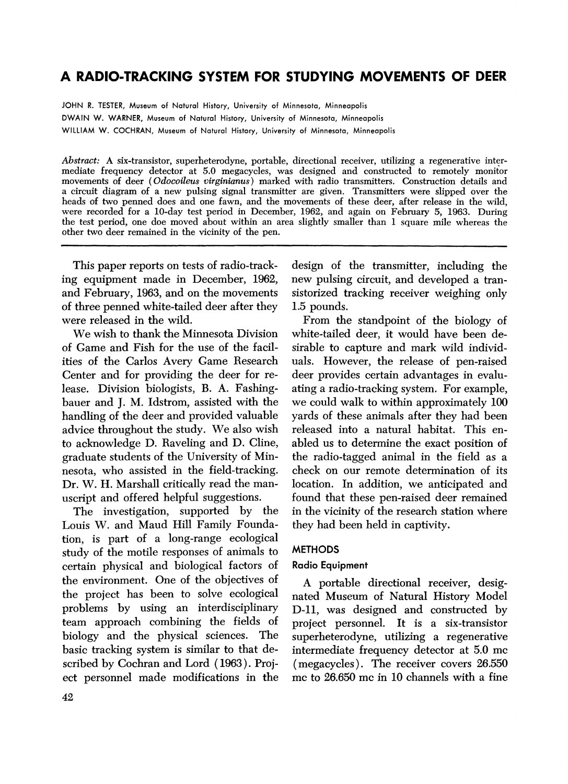# **A RADIO-TRACKING SYSTEM FOR STUDYING MOVEMENTS OF DEER**

**JOHN R. TESTER, Museum of Natural History, University of Minnesota, Minneapolis DWAIN W. WARNER, Museum of Natural History, University of Minnesota, Minneapolis WILLIAM W. COCHRAN, Museum of Natural History, University of Minnesota, Minneapolis** 

**Abstract: A six-transistor, superheterodyne, portable, directional receiver, utilizing a regenerative intermediate frequency detector at 5.0 megacycles, was designed and constructed to remotely monitor movements of deer (Odocoileus virginianus) marked with radio transmitters. Construction details and a circuit diagram of a new pulsing signal transmitter are given. Transmitters were slipped over the heads of two penned does and one fawn, and the movements of these deer, after release in the wild, were recorded for a 10-day test period in December, 1962, and again on February 5, 1963. During the test period, one doe moved about within an area slightly smaller than 1 square mile whereas the other two deer remained in the vicinity of the pen.** 

**This paper reports on tests of radio-tracking equipment made in December, 1962, and February, 1963, and on the movements of three penned white-tailed deer after they were released in the wild.** 

**We wish to thank the Minnesota Division of Game and Fish for the use of the facilities of the Carlos Avery Game Research Center and for providing the deer for release. Division biologists, B. A. Fashingbauer and J. M. Idstrom, assisted with the handling of the deer and provided valuable advice throughout the study. We also wish to acknowledge D. Raveling and D. Cline, graduate students of the University of Minnesota, who assisted in the field-tracking. Dr. W. H. Marshall critically read the manuscript and offered helpful suggestions.** 

**The investigation, supported by the Louis W. and Maud Hill Family Foundation, is part of a long-range ecological study of the motile responses of animals to certain physical and biological factors of the environment. One of the objectives of the project has been to solve ecological problems by using an interdisciplinary team approach combining the fields of biology and the physical sciences. The basic tracking system is similar to that described by Cochran and Lord (1963). Project personnel made modifications in the**  **design of the transmitter, including the new pulsing circuit, and developed a transistorized tracking receiver weighing only 1.5 pounds.** 

**From the standpoint of the biology of white-tailed deer, it would have been desirable to capture and mark wild individuals. However, the release of pen-raised deer provides certain advantages in evaluating a radio-tracking system. For example, we could walk to within approximately 100 yards of these animals after they had been released into a natural habitat. This enabled us to determine the exact position of the radio-tagged animal in the field as a check on our remote determination of its location. In addition, we anticipated and found that these pen-raised deer remained in the vicinity of the research station where they had been held in captivity.** 

#### **METHODS**

#### **Radio Equipment**

**A portable directional receiver, designated Museum of Natural History Model D-11, was designed and constructed by project personnel. It is a six-transistor superheterodyne, utilizing a regenerative intermediate frequency detector at 5.0 me (megacycles). The receiver covers 26.550 me to 26.650 me in 10 channels with a fine**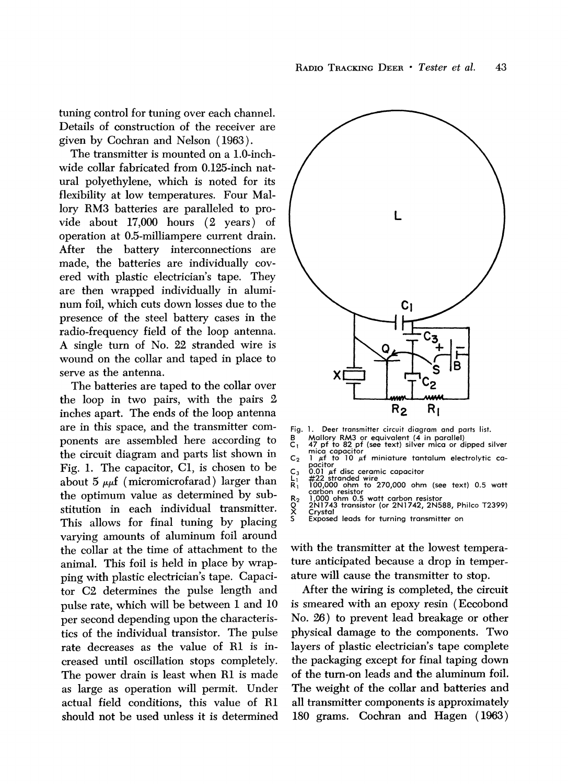**tuning control for tuning over each channel. Details of construction of the receiver are given by Cochran and Nelson (1963).** 

**The transmitter is mounted on a 1.0-inchwide collar fabricated from 0.125-inch natural polyethylene, which is noted for its flexibility at low temperatures. Four Mallory RM3 batteries are paralleled to provide about 17,000 hours (2 years) of operation at 0.5-milliampere current drain. After the battery interconnections are made, the batteries are individually covered with plastic electrician's tape. They are then wrapped individually in aluminum foil, which cuts down losses due to the presence of the steel battery cases in the radio-frequency field of the loop antenna. A single turn of No. 22 stranded wire is wound on the collar and taped in place to serve as the antenna.** 

**The batteries are taped to the collar over the loop in two pairs, with the pairs 2 inches apart. The ends of the loop antenna are in this space, and the transmitter components are assembled here according to the circuit diagram and parts list shown in Fig. 1. The capacitor, C1, is chosen to be**  about  $5 \mu \mu f$  (micromicrofarad) larger than **• the optimum value as determined by substitution in each individual transmitter. This allows for final tuning by placing varying amounts of aluminum foil around the collar at the time of attachment to the animal. This foil is held in place by wrapping with plastic electrician's tape. Capacitor C2 determines the pulse length and pulse rate, which will be between 1 and 10 per second depending upon the characteristics of the individual transistor. The pulse rate decreases as the value of R1 is increased until oscillation stops completely. The power drain is least when R1 is made as large as operation will permit. Under actual field conditions, this value of R1i should not be used unless it is determined** 



- 
- Fig. 1. Deer transmitter circuit diagram and parts list.<br>**B** Mallory RM3 or equivalent (4 in parallel)<br>C<sub>1</sub> 47 pf to 82 pf (see text) silver mica or dipped s **B Mallory RM3 or equivalent (4 in parallel) C1 47 pf to 82 pf (see text) silver mica or dipped silver mica capacitor**
- C<sub>2</sub> 1 µf to 10 µf miniature tantalum electrolytic ca-<br>C<sub>3</sub> 0.01 µf disc ceramic capacitor<br>L<sub>1</sub> #22 stranded wire<br>R<sub>1</sub> #22 stranded wire<br>R<sub>1</sub> 100,000 ohm to 270,000 ohm (see text) 0.5 watt
- 
- **carbon resistor R2 1,000 ohm 0.5 watt carbon resistor Q 2N1743 transistor (or 2N1742, 2N588, Philco T2399)**
- 
- **X Crystal S Exposed leads for turning transmitter on**

**with the transmitter at the lowest temperature anticipated because a drop in temperature will cause the transmitter to stop.** 

**After the wiring is completed, the circuit is smeared with an epoxy resin (Eccobond No. 26) to prevent lead breakage or other physical damage to the components. Two layers of plastic electrician's tape complete the packaging except for final taping down of the turn-on leads and the aluminum foil. The weight of the collar and batteries and all transmitter components is approximately 180 grams. Cochran and Hagen (1963)**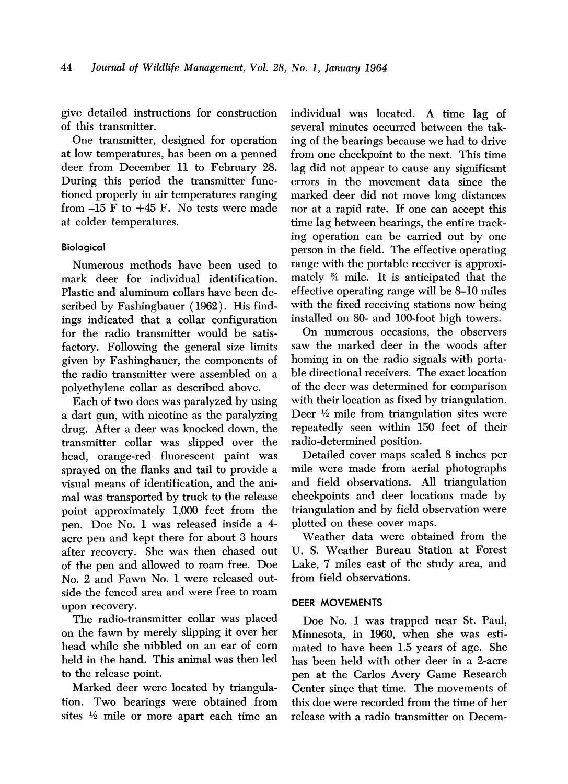**give detailed instructions for construction of this transmitter.** 

**One transmitter, designed for operation at low temperatures, has been on a penned deer from December 11 to February 28. During this period the transmitter functioned properly in air temperatures ranging from -15 F to +45 F. No tests were made at colder temperatures.** 

### **Biological**

**Numerous methods have been used to mark deer for individual identification. Plastic and aluminum collars have been described by Fashingbauer (1962). His findings indicated that a collar configuration for the radio transmitter would be satisfactory. Following the general size limits given by Fashingbauer, the components of the radio transmitter were assembled on a polyethylene collar as described above.** 

**Each of two does was paralyzed by using a dart gun, with nicotine as the paralyzing drug. After a deer was knocked down, the transmitter collar was slipped over the head, orange-red fluorescent paint was sprayed on the flanks and tail to provide a visual means of identification, and the animal was transported by truck to the release point approximately 1,000 feet from the pen. Doe No. 1 was released inside a 4 acre pen and kept there for about 3 hours after recovery. She was then chased out of the pen and allowed to roam free. Doe No. 2 and Fawn No. 1 were released outside the fenced area and were free to roam upon recovery.** 

**The radio-transmitter collar was placed on the fawn by merely slipping it over her head while she nibbled on an ear of corn held in the hand. This animal was then led to the release point.** 

**Marked deer were located by triangulation. Two bearings were obtained from**  sites <sup>1/2</sup> mile or more apart each time an **individual was located. A time lag of several minutes occurred between the taking of the bearings because we had to drive from one checkpoint to the next. This time lag did not appear to cause any significant errors in the movement data since the marked deer did not move long distances nor at a rapid rate. If one can accept this time lag between bearings, the entire tracking operation can be carried out by one person in the field. The effective operating range with the portable receiver is approximately % mile. It is anticipated that the effective operating range will be 8-10 miles with the fixed receiving stations now being installed on 80- and 100-foot high towers.** 

**On numerous occasions, the observers saw the marked deer in the woods after homing in on the radio signals with portable directional receivers. The exact location of the deer was determined for comparison with their location as fixed by triangulation.**  Deer <sup>1/2</sup> mile from triangulation sites were **repeatedly seen within 150 feet of their radio-determined position.** 

**Detailed cover maps scaled 8 inches per mile were made from aerial photographs and field observations. All triangulation checkpoints and deer locations made by triangulation and by field observation were plotted on these cover maps.** 

**Weather data were obtained from the U. S. Weather Bureau Station at Forest Lake, 7 miles east of the study area, and from field observations.** 

#### **DEER MOVEMENTS**

**Doe No. 1 was trapped near St. Paul, Minnesota, in 1960, when she was estimated to have been 1.5 years of age. She has been held with other deer in a 2-acre pen at the Carlos Avery Game Research Center since that time. The movements of this doe were recorded from the time of her release with a radio transmitter on Decem-**